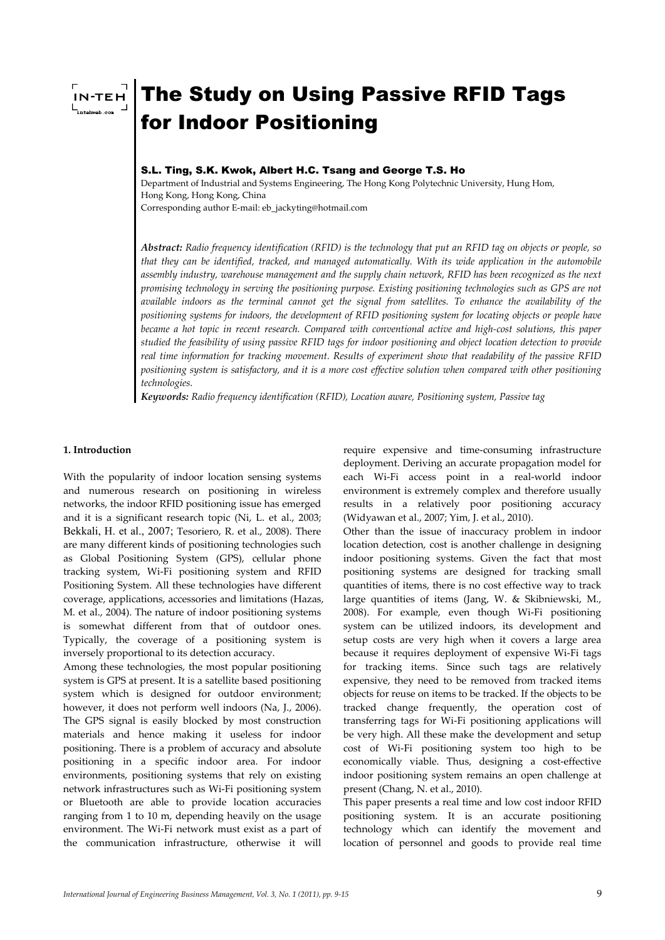

# IN-TEHT The Study on Using Passive RFID Tags for Indoor Positioning

# S.L. Ting, S.K. Kwok, Albert H.C. Tsang and George T.S. Ho

Department of Industrial and Systems Engineering, The Hong Kong Polytechnic University, Hung Hom, Hong Kong, Hong Kong, China Corresponding author E‐mail: eb\_jackyting@hotmail.com

Abstract: Radio frequency identification (RFID) is the technology that put an RFID tag on objects or people, so *that they can be identified, tracked, and managed automatically. With its wide application in the automobile assembly industry, warehouse management and the supply chain network, RFID has been recognized as the next promising technology in serving the positioning purpose. Existing positioning technologies such as GPS are not* available indoors as the terminal cannot get the signal from satellites. To enhance the availability of the *positioning systems for indoors, the development of RFID positioning system for locating objects or people have* became a hot topic in recent research. Compared with conventional active and high-cost solutions, this paper studied the feasibility of using passive RFID tags for indoor positioning and object location detection to provide *real time information for tracking movement. Results of experiment show that readability of the passive RFID* positioning system is satisfactory, and it is a more cost effective solution when compared with other positioning *technologies.*

*Keywords: Radio frequency identification (RFID), Location aware, Positioning system, Passive tag*

## **1. Introduction**

With the popularity of indoor location sensing systems and numerous research on positioning in wireless networks, the indoor RFID positioning issue has emerged and it is a significant research topic (Ni, L. et al., 2003; Bekkali, H. et al., 2007; Tesoriero, R. et al., 2008). There are many different kinds of positioning technologies such as Global Positioning System (GPS), cellular phone tracking system, Wi‐Fi positioning system and RFID Positioning System. All these technologies have different coverage, applications, accessories and limitations (Hazas, M. et al., 2004). The nature of indoor positioning systems is somewhat different from that of outdoor ones. Typically, the coverage of a positioning system is inversely proportional to its detection accuracy.

Among these technologies, the most popular positioning system is GPS at present. It is a satellite based positioning system which is designed for outdoor environment; however, it does not perform well indoors (Na, J., 2006). The GPS signal is easily blocked by most construction materials and hence making it useless for indoor positioning. There is a problem of accuracy and absolute positioning in a specific indoor area. For indoor environments, positioning systems that rely on existing network infrastructures such as Wi‐Fi positioning system or Bluetooth are able to provide location accuracies ranging from 1 to 10 m, depending heavily on the usage environment. The Wi‐Fi network must exist as a part of the communication infrastructure, otherwise it will require expensive and time‐consuming infrastructure deployment. Deriving an accurate propagation model for each Wi‐Fi access point in a real‐world indoor environment is extremely complex and therefore usually results in a relatively poor positioning accuracy (Widyawan et al., 2007; Yim, J. et al., 2010).

Other than the issue of inaccuracy problem in indoor location detection, cost is another challenge in designing indoor positioning systems. Given the fact that most positioning systems are designed for tracking small quantities of items, there is no cost effective way to track large quantities of items (Jang, W. & Skibniewski, M., 2008). For example, even though Wi‐Fi positioning system can be utilized indoors, its development and setup costs are very high when it covers a large area because it requires deployment of expensive Wi‐Fi tags for tracking items. Since such tags are relatively expensive, they need to be removed from tracked items objects for reuse on items to be tracked. If the objects to be tracked change frequently, the operation cost of transferring tags for Wi‐Fi positioning applications will be very high. All these make the development and setup cost of Wi‐Fi positioning system too high to be economically viable. Thus, designing a cost-effective indoor positioning system remains an open challenge at present (Chang, N. et al., 2010).

This paper presents a real time and low cost indoor RFID positioning system. It is an accurate positioning technology which can identify the movement and location of personnel and goods to provide real time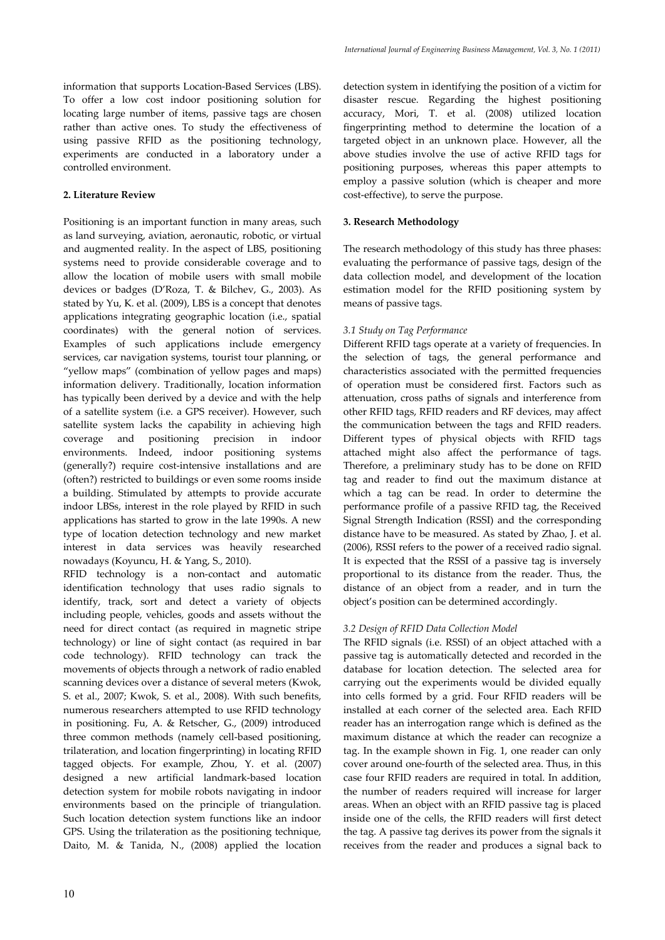information that supports Location‐Based Services (LBS). To offer a low cost indoor positioning solution for locating large number of items, passive tags are chosen rather than active ones. To study the effectiveness of using passive RFID as the positioning technology, experiments are conducted in a laboratory under a controlled environment.

# **2. Literature Review**

Positioning is an important function in many areas, such as land surveying, aviation, aeronautic, robotic, or virtual and augmented reality. In the aspect of LBS, positioning systems need to provide considerable coverage and to allow the location of mobile users with small mobile devices or badges (D'Roza, T. & Bilchev, G., 2003). As stated by Yu, K. et al. (2009), LBS is a concept that denotes applications integrating geographic location (i.e., spatial coordinates) with the general notion of services. Examples of such applications include emergency services, car navigation systems, tourist tour planning, or "yellow maps" (combination of yellow pages and maps) information delivery. Traditionally, location information has typically been derived by a device and with the help of a satellite system (i.e. a GPS receiver). However, such satellite system lacks the capability in achieving high coverage and positioning precision in indoor environments. Indeed, indoor positioning systems (generally?) require cost‐intensive installations and are (often?) restricted to buildings or even some rooms inside a building. Stimulated by attempts to provide accurate indoor LBSs, interest in the role played by RFID in such applications has started to grow in the late 1990s. A new type of location detection technology and new market interest in data services was heavily researched nowadays (Koyuncu, H. & Yang, S., 2010).

RFID technology is a non‐contact and automatic identification technology that uses radio signals to identify, track, sort and detect a variety of objects including people, vehicles, goods and assets without the need for direct contact (as required in magnetic stripe technology) or line of sight contact (as required in bar code technology). RFID technology can track the movements of objects through a network of radio enabled scanning devices over a distance of several meters (Kwok, S. et al., 2007; Kwok, S. et al., 2008). With such benefits, numerous researchers attempted to use RFID technology in positioning. Fu, A. & Retscher, G., (2009) introduced three common methods (namely cell‐based positioning, trilateration, and location fingerprinting) in locating RFID tagged objects. For example, Zhou, Y. et al. (2007) designed a new artificial landmark‐based location detection system for mobile robots navigating in indoor environments based on the principle of triangulation. Such location detection system functions like an indoor GPS. Using the trilateration as the positioning technique, Daito, M. & Tanida, N., (2008) applied the location

detection system in identifying the position of a victim for disaster rescue. Regarding the highest positioning accuracy, Mori, T. et al. (2008) utilized location fingerprinting method to determine the location of a targeted object in an unknown place. However, all the above studies involve the use of active RFID tags for positioning purposes, whereas this paper attempts to employ a passive solution (which is cheaper and more cost‐effective), to serve the purpose.

## **3. Research Methodology**

The research methodology of this study has three phases: evaluating the performance of passive tags, design of the data collection model, and development of the location estimation model for the RFID positioning system by means of passive tags.

# *3.1 Study on Tag Performance*

Different RFID tags operate at a variety of frequencies. In the selection of tags, the general performance and characteristics associated with the permitted frequencies of operation must be considered first. Factors such as attenuation, cross paths of signals and interference from other RFID tags, RFID readers and RF devices, may affect the communication between the tags and RFID readers. Different types of physical objects with RFID tags attached might also affect the performance of tags. Therefore, a preliminary study has to be done on RFID tag and reader to find out the maximum distance at which a tag can be read. In order to determine the performance profile of a passive RFID tag, the Received Signal Strength Indication (RSSI) and the corresponding distance have to be measured. As stated by Zhao, J. et al. (2006), RSSI refers to the power of a received radio signal. It is expected that the RSSI of a passive tag is inversely proportional to its distance from the reader. Thus, the distance of an object from a reader, and in turn the object's position can be determined accordingly.

# *3.2 Design of RFID Data Collection Model*

The RFID signals (i.e. RSSI) of an object attached with a passive tag is automatically detected and recorded in the database for location detection. The selected area for carrying out the experiments would be divided equally into cells formed by a grid. Four RFID readers will be installed at each corner of the selected area. Each RFID reader has an interrogation range which is defined as the maximum distance at which the reader can recognize a tag. In the example shown in Fig. 1, one reader can only cover around one‐fourth of the selected area. Thus, in this case four RFID readers are required in total. In addition, the number of readers required will increase for larger areas. When an object with an RFID passive tag is placed inside one of the cells, the RFID readers will first detect the tag. A passive tag derives its power from the signals it receives from the reader and produces a signal back to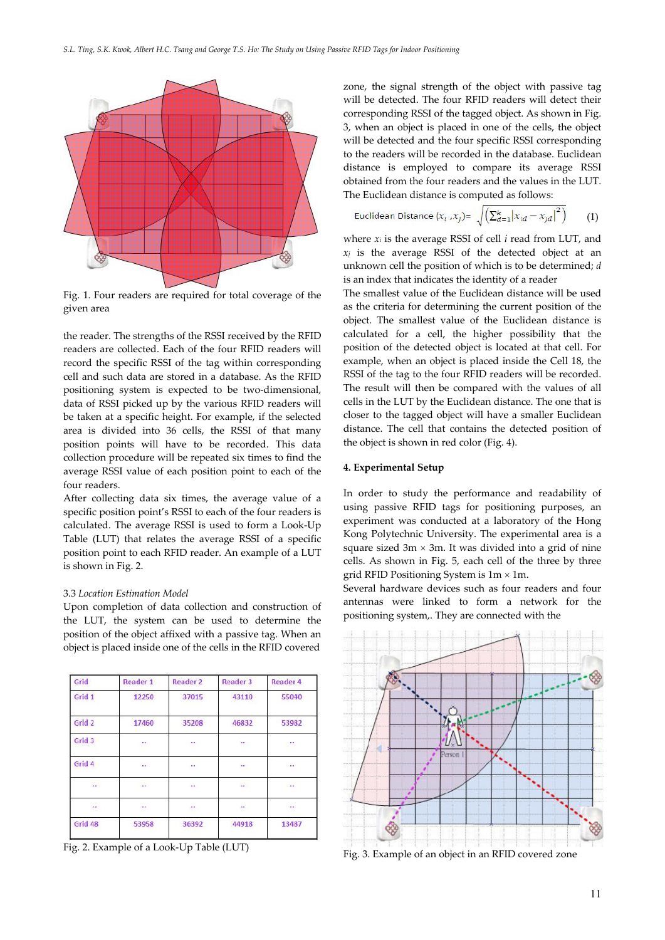

Fig. 1. Four readers are required for total coverage of the given area

the reader. The strengths of the RSSI received by the RFID readers are collected. Each of the four RFID readers will record the specific RSSI of the tag within corresponding cell and such data are stored in a database. As the RFID positioning system is expected to be two-dimensional, data of RSSI picked up by the various RFID readers will be taken at a specific height. For example, if the selected area is divided into 36 cells, the RSSI of that many position points will have to be recorded. This data collection procedure will be repeated six times to find the average RSSI value of each position point to each of the four readers.

After collecting data six times, the average value of a specific position point's RSSI to each of the four readers is calculated. The average RSSI is used to form a Look‐Up Table (LUT) that relates the average RSSI of a specific position point to each RFID reader. An example of a LUT is shown in Fig. 2.

#### 3.3 *Location Estimation Model*

Upon completion of data collection and construction of the LUT, the system can be used to determine the position of the object affixed with a passive tag. When an object is placed inside one of the cells in the RFID covered

| Grid              | <b>Reader 1</b> | <b>Reader 2</b> | <b>Reader 3</b> | Reader 4 |
|-------------------|-----------------|-----------------|-----------------|----------|
| Grid <sub>1</sub> | 12250           | 37015           | 43110           | 55040    |
| Grid <sub>2</sub> | 17460           | 35208           | 46832           | 53982    |
| Grid <sub>3</sub> | ٠.              | $\cdots$        | $\mathbf{r}$    |          |
| Grid 4            | $\sim$          | м.              | 25              | $\sim$   |
| a.                | - 11            | $\mathbf{a}$    | $\mathbf{a}$    | $\sim$   |
| M.                | - 11            | $\sim$          | 燃料              | $\sim$   |
| Grid 48           | 53958           | 36392           | 44918           | 13487    |

Fig. 2. Example of a Look‐Up Table (LUT)

zone, the signal strength of the object with passive tag will be detected. The four RFID readers will detect their corresponding RSSI of the tagged object. As shown in Fig. 3, when an object is placed in one of the cells, the object will be detected and the four specific RSSI corresponding to the readers will be recorded in the database. Euclidean distance is employed to compare its average RSSI obtained from the four readers and the values in the LUT. The Euclidean distance is computed as follows:

Euclidean Distance 
$$
(x_i, x_j)
$$
 =  $\sqrt{\left(\sum_{d=1}^k |x_{id} - x_{jd}|^2\right)}$  (1)

where *xi* is the average RSSI of cell *i* read from LUT, and  $x_i$  is the average RSSI of the detected object at an unknown cell the position of which is to be determined; *d* is an index that indicates the identity of a reader

The smallest value of the Euclidean distance will be used as the criteria for determining the current position of the object. The smallest value of the Euclidean distance is calculated for a cell, the higher possibility that the position of the detected object is located at that cell. For example, when an object is placed inside the Cell 18, the RSSI of the tag to the four RFID readers will be recorded. The result will then be compared with the values of all cells in the LUT by the Euclidean distance. The one that is closer to the tagged object will have a smaller Euclidean distance. The cell that contains the detected position of the object is shown in red color (Fig. 4).

## **4. Experimental Setup**

In order to study the performance and readability of using passive RFID tags for positioning purposes, an experiment was conducted at a laboratory of the Hong Kong Polytechnic University. The experimental area is a square sized  $3m \times 3m$ . It was divided into a grid of nine cells. As shown in Fig. 5, each cell of the three by three grid RFID Positioning System is  $1m \times 1m$ .

Several hardware devices such as four readers and four antennas were linked to form a network for the positioning system,. They are connected with the



Fig. 3. Example of an object in an RFID covered zone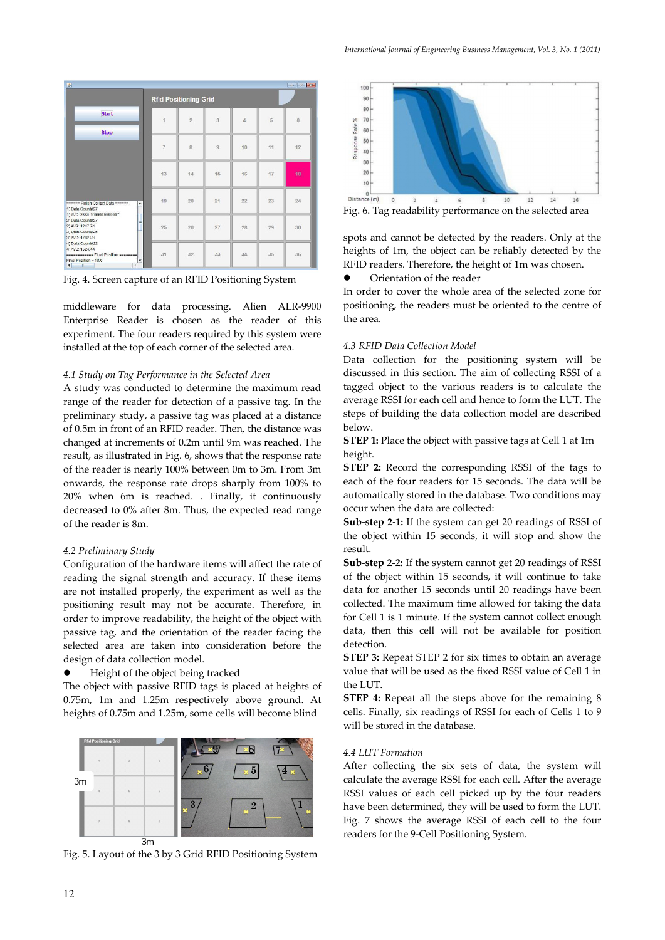

Fig. 4. Screen capture of an RFID Positioning System

middleware for data processing. Alien ALR‐9900 Enterprise Reader is chosen as the reader of this experiment. The four readers required by this system were installed at the top of each corner of the selected area.

#### *4.1 Study on Tag Performance in the Selected Area*

A study was conducted to determine the maximum read range of the reader for detection of a passive tag. In the preliminary study, a passive tag was placed at a distance of 0.5m in front of an RFID reader. Then, the distance was changed at increments of 0.2m until 9m was reached. The result, as illustrated in Fig. 6, shows that the response rate of the reader is nearly 100% between 0m to 3m. From 3m onwards, the response rate drops sharply from 100% to 20% when 6m is reached. . Finally, it continuously decreased to 0% after 8m. Thus, the expected read range of the reader is 8m.

#### *4.2 Preliminary Study*

Configuration of the hardware items will affect the rate of reading the signal strength and accuracy. If these items are not installed properly, the experiment as well as the positioning result may not be accurate. Therefore, in order to improve readability, the height of the object with passive tag, and the orientation of the reader facing the selected area are taken into consideration before the design of data collection model.

Height of the object being tracked

The object with passive RFID tags is placed at heights of 0.75m, 1m and 1.25m respectively above ground. At heights of 0.75m and 1.25m, some cells will become blind



Fig. 5. Layout of the 3 by 3 Grid RFID Positioning System



Fig. 6. Tag readability performance on the selected area

spots and cannot be detected by the readers. Only at the heights of 1m, the object can be reliably detected by the RFID readers. Therefore, the height of 1m was chosen.

Orientation of the reader

In order to cover the whole area of the selected zone for positioning, the readers must be oriented to the centre of the area.

#### *4.3 RFID Data Collection Model*

Data collection for the positioning system will be discussed in this section. The aim of collecting RSSI of a tagged object to the various readers is to calculate the average RSSI for each cell and hence to form the LUT. The steps of building the data collection model are described below.

**STEP 1:** Place the object with passive tags at Cell 1 at 1m height.

**STEP 2:** Record the corresponding RSSI of the tags to each of the four readers for 15 seconds. The data will be automatically stored in the database. Two conditions may occur when the data are collected:

**Sub‐step 2‐1:** If the system can get 20 readings of RSSI of the object within 15 seconds, it will stop and show the result.

**Sub‐step 2‐2:** If the system cannot get 20 readings of RSSI of the object within 15 seconds, it will continue to take data for another 15 seconds until 20 readings have been collected. The maximum time allowed for taking the data for Cell 1 is 1 minute. If the system cannot collect enough data, then this cell will not be available for position detection.

**STEP 3:** Repeat STEP 2 for six times to obtain an average value that will be used as the fixed RSSI value of Cell 1 in the LUT.

**STEP 4:** Repeat all the steps above for the remaining 8 cells. Finally, six readings of RSSI for each of Cells 1 to 9 will be stored in the database.

# *4.4 LUT Formation*

After collecting the six sets of data, the system will calculate the average RSSI for each cell. After the average RSSI values of each cell picked up by the four readers have been determined, they will be used to form the LUT. Fig. 7 shows the average RSSI of each cell to the four readers for the 9‐Cell Positioning System.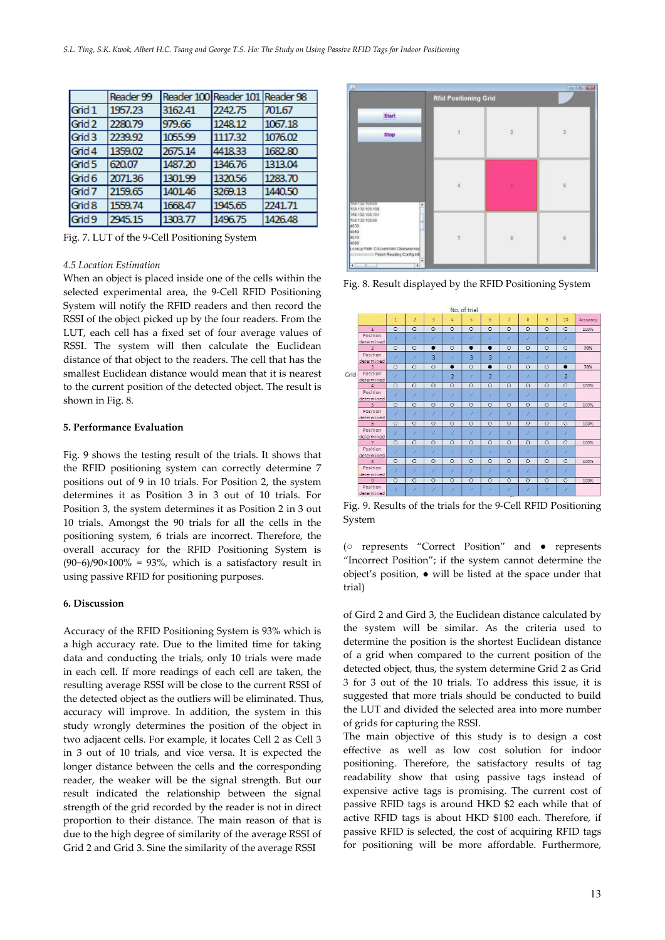|                   | Reader 99 |         | Reader 100 Reader 101 Reader 98 |         |
|-------------------|-----------|---------|---------------------------------|---------|
| Grid <sub>1</sub> | 1957.23   | 3162.41 | 2242.75                         | 701.67  |
| Grid <sub>2</sub> | 2280.79   | 979.66  | 1248.12                         | 1067.18 |
| Grid <sub>3</sub> | 2239.92   | 1055.99 | 1117.32                         | 1076.02 |
| Grid <sub>4</sub> | 1359.02   | 2675.14 | 4418.33                         | 1682.80 |
| Grid <sub>5</sub> | 620.07    | 1487.20 | 1346.76                         | 1313.04 |
| Grid <sub>6</sub> | 2071.36   | 1301.99 | 1320.56                         | 1283.70 |
| <b>IGrid</b> 7    | 2159.65   | 1401.46 | 3269.13                         | 1440.50 |
| Grid <sub>8</sub> | 1559.74   | 1668.47 | 1945.65                         | 2241.71 |
| Grid <sub>9</sub> | 2945.15   | 1303.77 | 1496.75                         | 1426.48 |

Fig. 7. LUT of the 9‐Cell Positioning System

# *4.5 Location Estimation*

When an object is placed inside one of the cells within the selected experimental area, the 9‐Cell RFID Positioning System will notify the RFID readers and then record the RSSI of the object picked up by the four readers. From the LUT, each cell has a fixed set of four average values of RSSI. The system will then calculate the Euclidean distance of that object to the readers. The cell that has the smallest Euclidean distance would mean that it is nearest to the current position of the detected object. The result is shown in Fig. 8.

# **5. Performance Evaluation**

Fig. 9 shows the testing result of the trials. It shows that the RFID positioning system can correctly determine 7 positions out of 9 in 10 trials. For Position 2, the system determines it as Position 3 in 3 out of 10 trials. For Position 3, the system determines it as Position 2 in 3 out 10 trials. Amongst the 90 trials for all the cells in the positioning system, 6 trials are incorrect. Therefore, the overall accuracy for the RFID Positioning System is (90−6)/90×100% = 93%, which is a satisfactory result in using passive RFID for positioning purposes.

# **6. Discussion**

Accuracy of the RFID Positioning System is 93% which is a high accuracy rate. Due to the limited time for taking data and conducting the trials, only 10 trials were made in each cell. If more readings of each cell are taken, the resulting average RSSI will be close to the current RSSI of the detected object as the outliers will be eliminated. Thus, accuracy will improve. In addition, the system in this study wrongly determines the position of the object in two adjacent cells. For example, it locates Cell 2 as Cell 3 in 3 out of 10 trials, and vice versa. It is expected the longer distance between the cells and the corresponding reader, the weaker will be the signal strength. But our result indicated the relationship between the signal strength of the grid recorded by the reader is not in direct proportion to their distance. The main reason of that is due to the high degree of similarity of the average RSSI of Grid 2 and Grid 3. Sine the similarity of the average RSSI



Fig. 8. Result displayed by the RFID Positioning System



Fig. 9. Results of the trials for the 9‐Cell RFID Positioning System

(○ represents "Correct Position" and ● represents "Incorrect Position"; if the system cannot determine the object's position, ● will be listed at the space under that trial)

of Gird 2 and Gird 3, the Euclidean distance calculated by the system will be similar. As the criteria used to determine the position is the shortest Euclidean distance of a grid when compared to the current position of the detected object, thus, the system determine Grid 2 as Grid 3 for 3 out of the 10 trials. To address this issue, it is suggested that more trials should be conducted to build the LUT and divided the selected area into more number of grids for capturing the RSSI.

The main objective of this study is to design a cost effective as well as low cost solution for indoor positioning. Therefore, the satisfactory results of tag readability show that using passive tags instead of expensive active tags is promising. The current cost of passive RFID tags is around HKD \$2 each while that of active RFID tags is about HKD \$100 each. Therefore, if passive RFID is selected, the cost of acquiring RFID tags for positioning will be more affordable. Furthermore,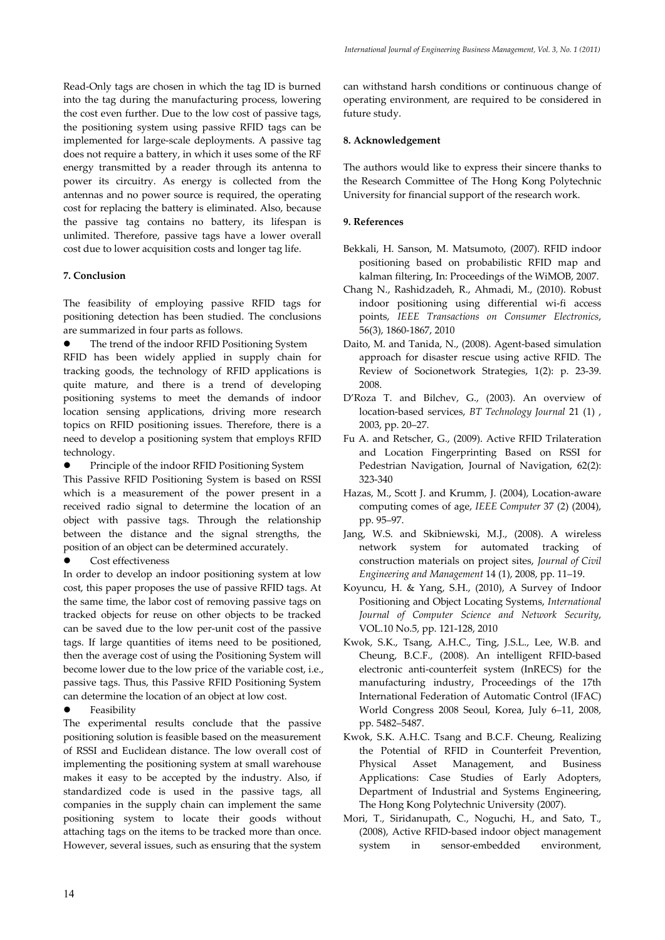Read‐Only tags are chosen in which the tag ID is burned into the tag during the manufacturing process, lowering the cost even further. Due to the low cost of passive tags, the positioning system using passive RFID tags can be implemented for large‐scale deployments. A passive tag does not require a battery, in which it uses some of the RF energy transmitted by a reader through its antenna to power its circuitry. As energy is collected from the antennas and no power source is required, the operating cost for replacing the battery is eliminated. Also, because the passive tag contains no battery, its lifespan is unlimited. Therefore, passive tags have a lower overall cost due to lower acquisition costs and longer tag life.

# **7. Conclusion**

The feasibility of employing passive RFID tags for positioning detection has been studied. The conclusions are summarized in four parts as follows.

The trend of the indoor RFID Positioning System

RFID has been widely applied in supply chain for tracking goods, the technology of RFID applications is quite mature, and there is a trend of developing positioning systems to meet the demands of indoor location sensing applications, driving more research topics on RFID positioning issues. Therefore, there is a need to develop a positioning system that employs RFID technology.

Principle of the indoor RFID Positioning System

This Passive RFID Positioning System is based on RSSI which is a measurement of the power present in a received radio signal to determine the location of an object with passive tags. Through the relationship between the distance and the signal strengths, the position of an object can be determined accurately.

Cost effectiveness

In order to develop an indoor positioning system at low cost, this paper proposes the use of passive RFID tags. At the same time, the labor cost of removing passive tags on tracked objects for reuse on other objects to be tracked can be saved due to the low per-unit cost of the passive tags. If large quantities of items need to be positioned, then the average cost of using the Positioning System will become lower due to the low price of the variable cost, i.e., passive tags. Thus, this Passive RFID Positioning System can determine the location of an object at low cost.

Feasibility

The experimental results conclude that the passive positioning solution is feasible based on the measurement of RSSI and Euclidean distance. The low overall cost of implementing the positioning system at small warehouse makes it easy to be accepted by the industry. Also, if standardized code is used in the passive tags, all companies in the supply chain can implement the same positioning system to locate their goods without attaching tags on the items to be tracked more than once. However, several issues, such as ensuring that the system

can withstand harsh conditions or continuous change of operating environment, are required to be considered in future study.

# **8. Acknowledgement**

The authors would like to express their sincere thanks to the Research Committee of The Hong Kong Polytechnic University for financial support of the research work.

# **9. References**

- Bekkali, H. Sanson, M. Matsumoto, (2007). RFID indoor positioning based on probabilistic RFID map and kalman filtering, In: Proceedings of the WiMOB, 2007.
- Chang N., Rashidzadeh, R., Ahmadi, M., (2010). Robust indoor positioning using differential wi‐fi access points, *IEEE Transactions on Consumer Electronics*, 56(3), 1860‐1867, 2010
- Daito, M. and Tanida, N., (2008). Agent-based simulation approach for disaster rescue using active RFID. The Review of Socionetwork Strategies, 1(2): p. 23‐39. 2008.
- D'Roza T. and Bilchev, G., (2003). An overview of location‐based services, *BT Technology Journal* 21 (1) , 2003, pp. 20–27.
- Fu A. and Retscher, G., (2009). Active RFID Trilateration and Location Fingerprinting Based on RSSI for Pedestrian Navigation, Journal of Navigation, 62(2): 323‐340
- Hazas, M., Scott J. and Krumm, J. (2004), Location‐aware computing comes of age, *IEEE Computer* 37 (2) (2004), pp. 95–97.
- Jang, W.S. and Skibniewski, M.J., (2008). A wireless network system for automated tracking of construction materials on project sites, *Journal of Civil Engineering and Management* 14 (1), 2008, pp. 11–19.
- Koyuncu, H. & Yang, S.H., (2010), A Survey of Indoor Positioning and Object Locating Systems, *International Journal of Computer Science and Network Security*, VOL.10 No.5, pp. 121‐128, 2010
- Kwok, S.K., Tsang, A.H.C., Ting, J.S.L., Lee, W.B. and Cheung, B.C.F., (2008). An intelligent RFID‐based electronic anti‐counterfeit system (InRECS) for the manufacturing industry, Proceedings of the 17th International Federation of Automatic Control (IFAC) World Congress 2008 Seoul, Korea, July 6–11, 2008, pp. 5482–5487.
- Kwok, S.K. A.H.C. Tsang and B.C.F. Cheung, Realizing the Potential of RFID in Counterfeit Prevention, Physical Asset Management, and Business Applications: Case Studies of Early Adopters, Department of Industrial and Systems Engineering, The Hong Kong Polytechnic University (2007).
- Mori, T., Siridanupath, C., Noguchi, H., and Sato, T., (2008), Active RFID‐based indoor object management system in sensor-embedded environment,